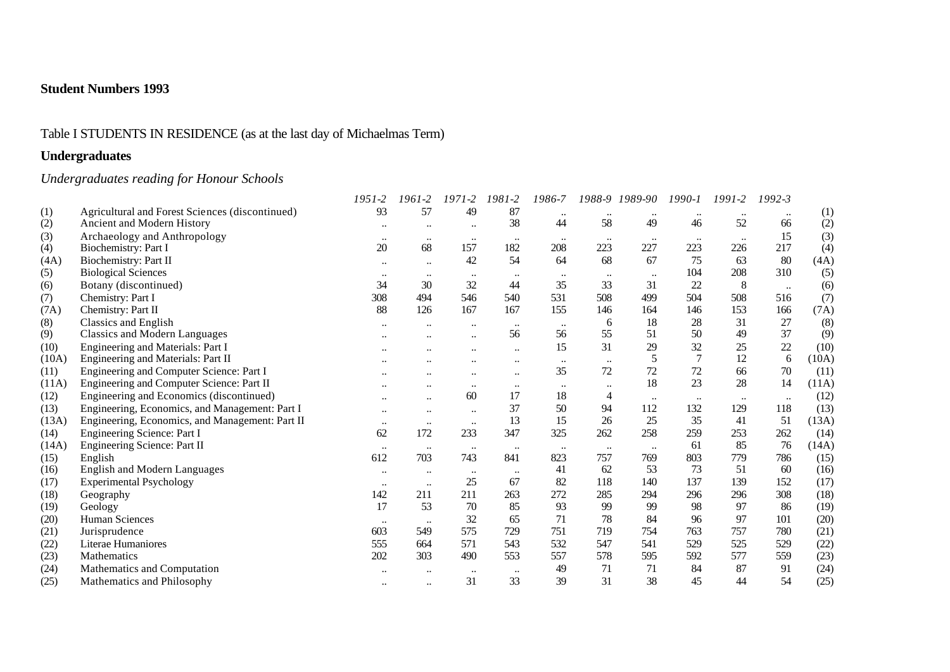## Table I STUDENTS IN RESIDENCE (as at the last day of Michaelmas Term)

## **Undergraduates**

## *Undergraduates reading for Honour Schools*

|       |                                                 | 1951-2               | 1961-2           | 1971-2               | 1981-2    | 1986-7    | 1988-9    | 1989-90          | $1990 - 1$ | 1991-2    | $1992 - 3$ |       |
|-------|-------------------------------------------------|----------------------|------------------|----------------------|-----------|-----------|-----------|------------------|------------|-----------|------------|-------|
| (1)   | Agricultural and Forest Sciences (discontinued) | 93                   | 57               | 49                   | 87        |           |           | $\bullet\bullet$ |            |           | $\ddotsc$  | (1)   |
| (2)   | Ancient and Modern History                      | $\ddot{\phantom{0}}$ | $\ddotsc$        | $\ddotsc$            | 38        | 44        | 58        | 49               | 46         | 52        | 66         | (2)   |
| (3)   | Archaeology and Anthropology                    | $\bullet\bullet$     | $\bullet\bullet$ | $\cdot\cdot$         | $\ldots$  | $\ddotsc$ |           | $\cdots$         | $\cdots$   | $\ddotsc$ | 15         | (3)   |
| (4)   | Biochemistry: Part I                            | 20                   | 68               | 157                  | 182       | 208       | 223       | 227              | 223        | 226       | 217        | (4)   |
| (4A)  | Biochemistry: Part II                           | $\ddotsc$            | $\ddotsc$        | 42                   | 54        | 64        | 68        | 67               | 75         | 63        | 80         | (4A)  |
| (5)   | <b>Biological Sciences</b>                      | $\ddotsc$            | $\ddotsc$        | $\ddot{\phantom{0}}$ | $\ddotsc$ | $\ddotsc$ | $\ddotsc$ | $\ddotsc$        | 104        | 208       | 310        | (5)   |
| (6)   | Botany (discontinued)                           | 34                   | 30               | 32                   | 44        | 35        | 33        | 31               | 22         | 8         | $\ldots$   | (6)   |
| (7)   | Chemistry: Part I                               | 308                  | 494              | 546                  | 540       | 531       | 508       | 499              | 504        | 508       | 516        | (7)   |
| (7A)  | Chemistry: Part II                              | 88                   | 126              | 167                  | 167       | 155       | 146       | 164              | 146        | 153       | 166        | (7A)  |
| (8)   | Classics and English                            | $\ddotsc$            | $\ddotsc$        | $\ddotsc$            | $\ldots$  | $\ddotsc$ | 6         | 18               | 28         | 31        | 27         | (8)   |
| (9)   | <b>Classics and Modern Languages</b>            |                      |                  | $\ddotsc$            | 56        | 56        | 55        | 51               | 50         | 49        | 37         | (9)   |
| (10)  | Engineering and Materials: Part I               |                      |                  |                      | $\ddotsc$ | 15        | 31        | 29               | 32         | 25        | 22         | (10)  |
| (10A) | Engineering and Materials: Part II              |                      |                  | $\ddot{\phantom{0}}$ | $\ddotsc$ |           | $\ddotsc$ | 5                |            | 12        | 6          | (10A) |
| (11)  | Engineering and Computer Science: Part I        |                      |                  | $\ddotsc$            | $\ddotsc$ | 35        | 72        | 72               | 72         | 66        | 70         | (11)  |
| (11A) | Engineering and Computer Science: Part II       |                      |                  | $\ddotsc$            | $\ddotsc$ | $\ddotsc$ |           | 18               | 23         | 28        | 14         | (11A) |
| (12)  | Engineering and Economics (discontinued)        | $\ddotsc$            | $\ldots$         | 60                   | 17        | 18        | 4         | $\ddotsc$        | $\ddotsc$  | $\ddotsc$ | $\ddotsc$  | (12)  |
| (13)  | Engineering, Economics, and Management: Part I  | $\ddotsc$            | $\ddotsc$        | $\ddotsc$            | 37        | 50        | 94        | 112              | 132        | 129       | 118        | (13)  |
| (13A) | Engineering, Economics, and Management: Part II | $\bullet\bullet$     | $\ddotsc$        | $\ddotsc$            | 13        | 15        | 26        | 25               | 35         | 41        | 51         | (13A) |
| (14)  | Engineering Science: Part I                     | 62                   | 172              | 233                  | 347       | 325       | 262       | 258              | 259        | 253       | 262        | (14)  |
| (14A) | Engineering Science: Part II                    | $\ldots$             | $\ddotsc$        | $\ddotsc$            | $\ddotsc$ | $\ddotsc$ | $\ddotsc$ | $\ldots$         | 61         | 85        | 76         | (14A) |
| (15)  | English                                         | 612                  | 703              | 743                  | 841       | 823       | 757       | 769              | 803        | 779       | 786        | (15)  |
| (16)  | <b>English and Modern Languages</b>             | $\bullet\bullet$     | $\bullet\bullet$ | $\cdot\cdot$         | $\ldots$  | 41        | 62        | 53               | 73         | 51        | 60         | (16)  |
| (17)  | <b>Experimental Psychology</b>                  | $\bullet\bullet$     | $\cdots$         | 25                   | 67        | 82        | 118       | 140              | 137        | 139       | 152        | (17)  |
| (18)  | Geography                                       | 142                  | 211              | 211                  | 263       | 272       | 285       | 294              | 296        | 296       | 308        | (18)  |
| (19)  | Geology                                         | 17                   | 53               | 70                   | 85        | 93        | 99        | 99               | 98         | 97        | 86         | (19)  |
| (20)  | <b>Human Sciences</b>                           | $\ldots$             | $\ddotsc$        | 32                   | 65        | 71        | 78        | 84               | 96         | 97        | 101        | (20)  |
| (21)  | Jurisprudence                                   | 603                  | 549              | 575                  | 729       | 751       | 719       | 754              | 763        | 757       | 780        | (21)  |
| (22)  | Literae Humaniores                              | 555                  | 664              | 571                  | 543       | 532       | 547       | 541              | 529        | 525       | 529        | (22)  |
| (23)  | Mathematics                                     | 202                  | 303              | 490                  | 553       | 557       | 578       | 595              | 592        | 577       | 559        | (23)  |
| (24)  | Mathematics and Computation                     |                      |                  | $\ddot{\phantom{0}}$ | $\ddotsc$ | 49        | 71        | 71               | 84         | 87        | 91         | (24)  |
| (25)  | Mathematics and Philosophy                      | $\ddotsc$            | $\ddotsc$        | 31                   | 33        | 39        | 31        | 38               | 45         | 44        | 54         | (25)  |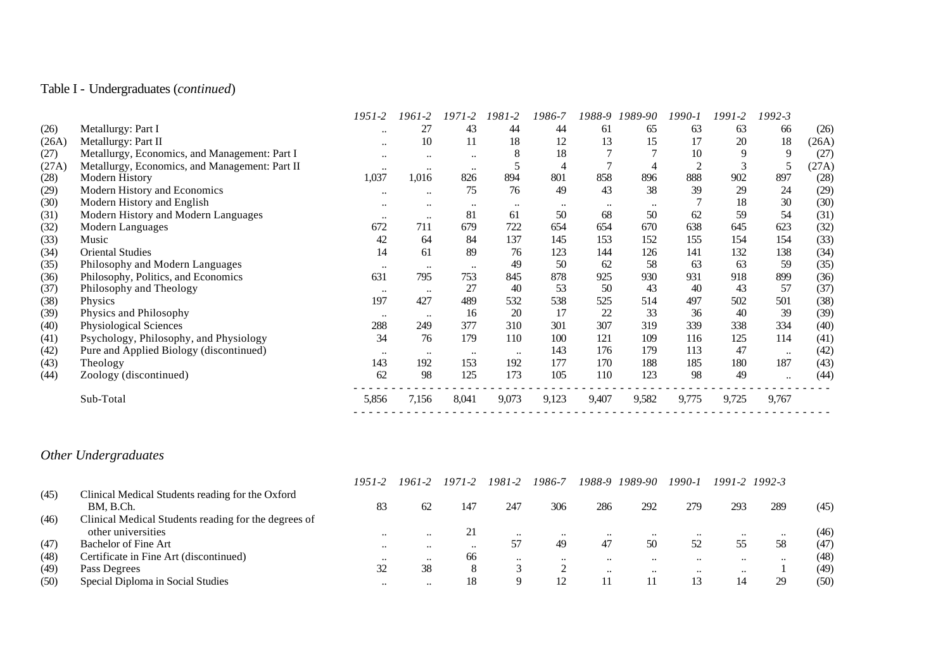## Table I - Undergraduates (*continued*)

|       |                                                | 1951-2           | 1961-2    | $1971 - 2$       | 1981-2    | 1986-7 | 1988-9    | 1989-90 | 1990-1 | 1991-2 | 1992-3    |       |
|-------|------------------------------------------------|------------------|-----------|------------------|-----------|--------|-----------|---------|--------|--------|-----------|-------|
| (26)  | Metallurgy: Part I                             | $\bullet\bullet$ | 27        | 43               | 44        | 44     | 61        | 65      | 63     | 63     | 66        | (26)  |
| (26A) | Metallurgy: Part II                            | $\ddotsc$        | 10        | 11               | 18        | 12     | 13        | 15      | 17     | 20     | 18        | (26A) |
| (27)  | Metallurgy, Economics, and Management: Part I  | $\ddotsc$        | $\ddotsc$ | $\bullet\bullet$ | 8         | 18     |           |         | 10     | 9      | 9         | (27)  |
| (27A) | Metallurgy, Economics, and Management: Part II | $\bullet\bullet$ | $\cdots$  | $\bullet\bullet$ |           | 4      |           |         |        | 3      | 5         | (27A) |
| (28)  | Modern History                                 | 1,037            | 1,016     | 826              | 894       | 801    | 858       | 896     | 888    | 902    | 897       | (28)  |
| (29)  | Modern History and Economics                   |                  | $\ddotsc$ | 75               | 76        | 49     | 43        | 38      | 39     | 29     | 24        | (29)  |
| (30)  | Modern History and English                     | $\ddotsc$        | $\ddotsc$ | $\bullet\bullet$ | $\cdots$  |        | $\ddotsc$ |         |        | 18     | 30        | (30)  |
| (31)  | Modern History and Modern Languages            | $\ddotsc$        | $\ddotsc$ | 81               | 61        | 50     | 68        | 50      | 62     | 59     | 54        | (31)  |
| (32)  | Modern Languages                               | 672              | 711       | 679              | 722       | 654    | 654       | 670     | 638    | 645    | 623       | (32)  |
| (33)  | Music                                          | 42               | 64        | 84               | 137       | 145    | 153       | 152     | 155    | 154    | 154       | (33)  |
| (34)  | <b>Oriental Studies</b>                        | 14               | 61        | 89               | 76        | 123    | 144       | 126     | 141    | 132    | 138       | (34)  |
| (35)  | Philosophy and Modern Languages                | $\bullet\bullet$ | $\ddotsc$ | $\bullet\bullet$ | 49        | 50     | 62        | 58      | 63     | 63     | 59        | (35)  |
| (36)  | Philosophy, Politics, and Economics            | 631              | 795       | 753              | 845       | 878    | 925       | 930     | 931    | 918    | 899       | (36)  |
| (37)  | Philosophy and Theology                        | $\ddotsc$        | $\ddotsc$ | 27               | 40        | 53     | 50        | 43      | 40     | 43     | 57        | (37)  |
| (38)  | Physics                                        | 197              | 427       | 489              | 532       | 538    | 525       | 514     | 497    | 502    | 501       | (38)  |
| (39)  | Physics and Philosophy                         | $\ddotsc$        | $\ddotsc$ | 16               | 20        | 17     | 22        | 33      | 36     | 40     | 39        | (39)  |
| (40)  | Physiological Sciences                         | 288              | 249       | 377              | 310       | 301    | 307       | 319     | 339    | 338    | 334       | (40)  |
| (41)  | Psychology, Philosophy, and Physiology         | 34               | 76        | 179              | 110       | 100    | 121       | 109     | 116    | 125    | 114       | (41)  |
| (42)  | Pure and Applied Biology (discontinued)        | $\ddotsc$        | $\ddotsc$ | $\bullet\bullet$ | $\ddotsc$ | 143    | 176       | 179     | 113    | 47     | $\ddotsc$ | (42)  |
| (43)  | Theology                                       | 143              | 192       | 153              | 192       | 177    | 170       | 188     | 185    | 180    | 187       | (43)  |
| (44)  | Zoology (discontinued)                         | 62               | 98        | 125              | 173       | 105    | 110       | 123     | 98     | 49     | $\ddotsc$ | (44)  |
|       | Sub-Total                                      | 5,856            | 7,156     | 8,041            | 9,073     | 9,123  | 9,407     | 9,582   | 9,775  | 9,725  | 9,767     |       |
|       |                                                |                  |           |                  |           |        |           |         |        |        |           |       |

# *Other Undergraduates*

|      |                                                               | 1951-2           | 1961-2    | 1971-2  | 1981-2       | 1986-7       | 1988-9    | 1989-90   | 1990-1       |           | 1991-2 1992-3 |      |
|------|---------------------------------------------------------------|------------------|-----------|---------|--------------|--------------|-----------|-----------|--------------|-----------|---------------|------|
| (45) | Clinical Medical Students reading for the Oxford<br>BM. B.Ch. | 83               | 62        | 147     | 247          | 306          | 286       | 292       | 279          | 293       | 289           | (45) |
| (46) | Clinical Medical Students reading for the degrees of          |                  |           |         |              |              |           |           |              |           |               |      |
|      | other universities                                            | $\bullet\bullet$ | $\cdots$  | 21      | $\cdot\cdot$ | $\cdots$     | $\ddotsc$ | $\cdots$  |              | $\ddotsc$ | $\cdots$      | (46) |
| (47) | Bachelor of Fine Art                                          | $\bullet\bullet$ | $\ddotsc$ | $\cdot$ | 57           | 49           | 47        | 50        | 52           | 55        | 58            | (47) |
| (48) | Certificate in Fine Art (discontinued)                        | $\bullet\bullet$ | $\ddotsc$ | 66      | $\cdot$      | $\cdot\cdot$ | $\ddotsc$ | $\ddotsc$ | $\ddotsc$    | $\ddotsc$ | $\ddotsc$     | (48) |
| (49) | Pass Degrees                                                  | 32               | 38        | 8       |              |              | $\ddotsc$ | $\ddotsc$ | $\cdot\cdot$ | $\ddotsc$ |               | (49) |
| (50) | Special Diploma in Social Studies                             | $\cdot\cdot$     | $\cdots$  | 18      |              |              |           |           | 13           | 14        | 29            | (50) |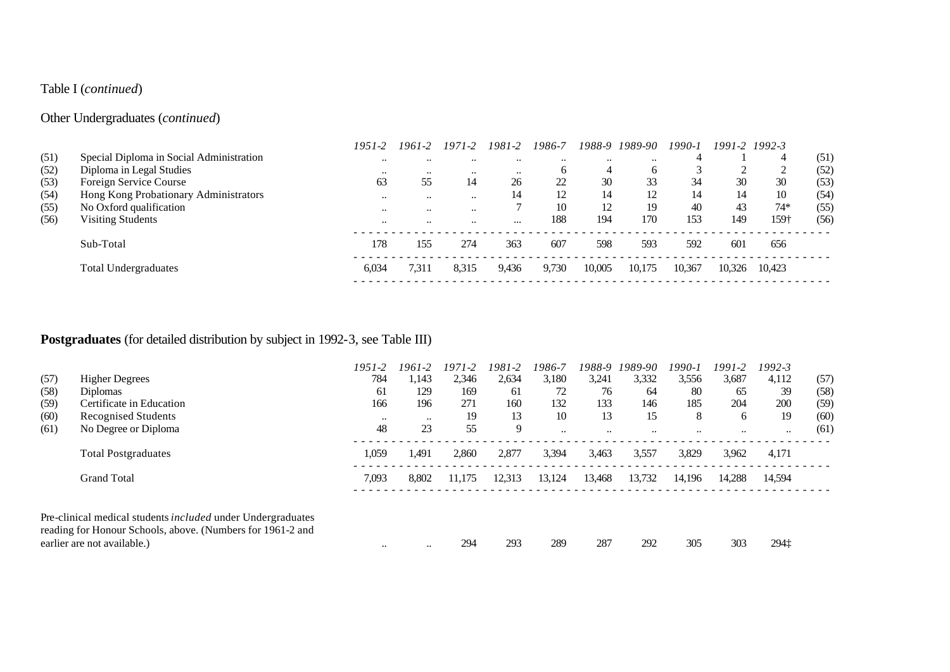## Table I (*continued*)

## Other Undergraduates (*continued*)

|      |                                          | $1951 - 2$ | 1961-2               | 1971-2        | 1981-2    | 1986-7       |           | 1988-9 1989-90 | $1990 - 1$ |        | 1991-2 1992-3  |      |
|------|------------------------------------------|------------|----------------------|---------------|-----------|--------------|-----------|----------------|------------|--------|----------------|------|
| (51) | Special Diploma in Social Administration | $\cdots$   |                      |               |           | $\cdot\cdot$ | $\ddotsc$ | $\ddotsc$      |            |        | $\overline{4}$ | (51) |
| (52) | Diploma in Legal Studies                 | $\cdots$   | $\cdots$             | $\cdot \cdot$ | $\ddotsc$ |              |           |                |            |        | ◠              | (52) |
| (53) | Foreign Service Course                   | 63         | 55                   | 14            | 26        | 22           | 30        | 33             | 34         | 30     | 30             | (53) |
| (54) | Hong Kong Probationary Administrators    | $\cdots$   | $\ddotsc$            | $\cdot \cdot$ | 14        | 12           | 14        | 12             | 14         | 14     | 10             | (54) |
| (55) | No Oxford qualification                  | $\cdots$   | $\ddot{\phantom{0}}$ | $\cdot \cdot$ |           | 10           | 12        | 19             | 40         | 43     | $74*$          | (55) |
| (56) | <b>Visiting Students</b>                 | $\cdots$   | $\ddot{\phantom{0}}$ | $\cdot \cdot$ | $\cdots$  | 188          | 194       | 170            | 153        | 149    | 159†           | (56) |
|      | Sub-Total                                | 178        | 155                  | 274           | 363       | 607          | 598       | 593            | 592        | 601    | 656            |      |
|      | <b>Total Undergraduates</b>              | 6.034      | 7.311                | 8.315         | 9,436     | 9.730        | 10.005    | 10.175         | 10.367     | 10.326 | 10.423         |      |
|      |                                          |            |                      |               |           |              |           |                |            |        |                |      |

# **Postgraduates** (for detailed distribution by subject in 1992-3, see Table III)

|      |                                                                                           | 1951-2    | 1961-2    | $1971 - 2$ | 1981-2 | 1986-7  | 1988-9    | 1989-90              | 1990-i | 1991-2    | 1992-3    |      |
|------|-------------------------------------------------------------------------------------------|-----------|-----------|------------|--------|---------|-----------|----------------------|--------|-----------|-----------|------|
| (57) | <b>Higher Degrees</b>                                                                     | 784       | 1.143     | 2,346      | 2,634  | 3,180   | 3,241     | 3,332                | 3,556  | 3,687     | 4,112     | (57) |
| (58) | Diplomas                                                                                  | 61        | 129       | 169        | 61     | 72      | 76        | 64                   | 80     | 65        | 39        | (58) |
| (59) | Certificate in Education                                                                  | 166       | 196       | 271        | 160    | 132     | 133       | 146                  | 185    | 204       | 200       | (59) |
| (60) | Recognised Students                                                                       | $\ddotsc$ | $\ddotsc$ | 19         | 13     | 10      | 13        | 15                   | 8      | 6         | 19        | (60) |
| (61) | No Degree or Diploma                                                                      | 48        | 23        | 55         | 9      | $\cdot$ | $\ddotsc$ | $\ddot{\phantom{0}}$ |        | $\ddotsc$ | $\ddotsc$ | (61) |
|      | <b>Total Postgraduates</b>                                                                | 1,059     | 1.491     | 2.860      | 2.877  | 3,394   | 3,463     | 3,557                | 3,829  | 3,962     | 4,171     |      |
|      | <b>Grand Total</b>                                                                        | 7,093     | 8.802     | 11.175     | 12.313 | 13,124  | 13,468    | 13,732               | 14.196 | 14,288    | 14.594    |      |
|      | Pre-clinical medical students <i>included</i> under Undergraduates                        |           |           |            |        |         |           |                      |        |           |           |      |
|      | reading for Honour Schools, above. (Numbers for 1961-2 and<br>earlier are not available.) | $\ddotsc$ | $\ddotsc$ | 294        | 293    | 289     | 287       | 292                  | 305    | 303       | 294‡      |      |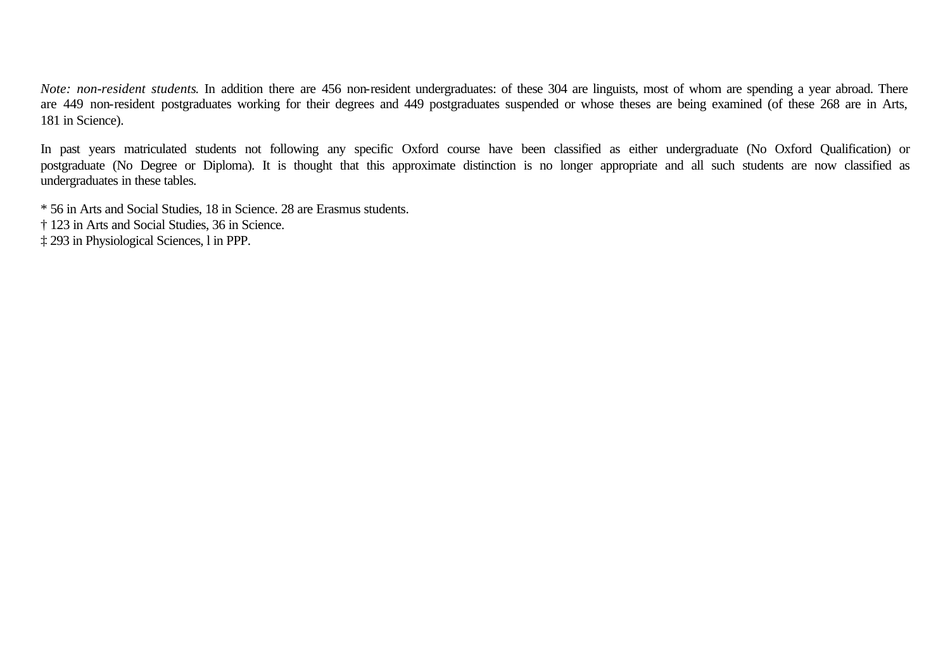*Note: non-resident students*. In addition there are 456 non-resident undergraduates: of these 304 are linguists, most of whom are spending a year abroad. There are 449 non-resident postgraduates working for their degrees and 449 postgraduates suspended or whose theses are being examined (of these 268 are in Arts, 181 in Science).

In past years matriculated students not following any specific Oxford course have been classified as either undergraduate (No Oxford Qualification) or postgraduate (No Degree or Diploma). It is thought that this approximate distinction is no longer appropriate and all such students are now classified as undergraduates in these tables.

\* 56 in Arts and Social Studies, 18 in Science. 28 are Erasmus students.

† 123 in Arts and Social Studies, 36 in Science.

‡ 293 in Physiological Sciences, l in PPP.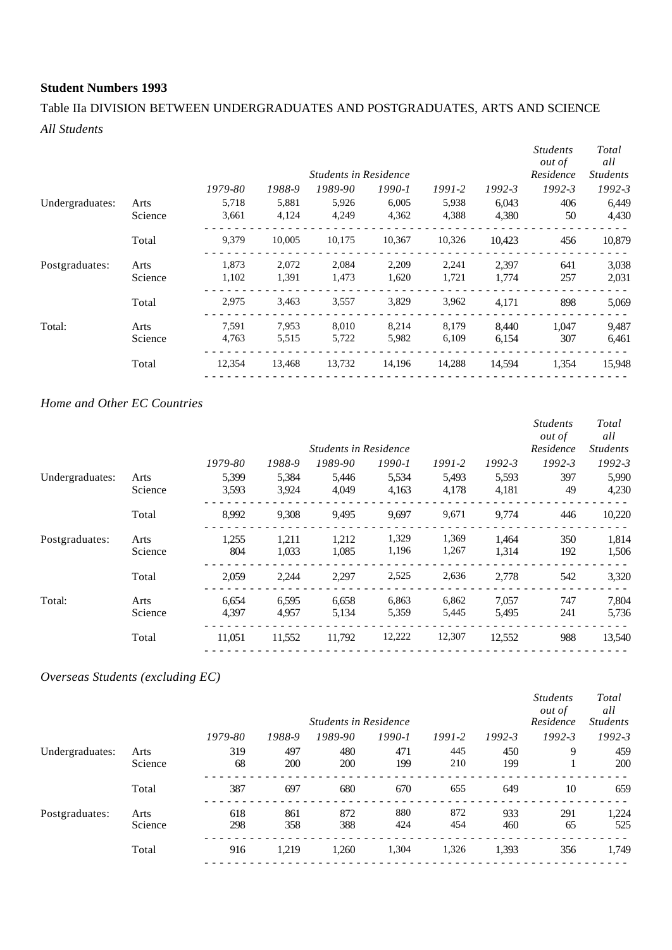## Table IIa DIVISION BETWEEN UNDERGRADUATES AND POSTGRADUATES, ARTS AND SCIENCE *All Students*

|         |         |        |         |        |                              |            | <b>Students</b><br><i>out of</i><br>Residence | Total<br>all<br><b>Students</b> |
|---------|---------|--------|---------|--------|------------------------------|------------|-----------------------------------------------|---------------------------------|
|         | 1979-80 | 1988-9 | 1989-90 | 1990-1 | 1991-2                       | $1992 - 3$ | $1992 - 3$                                    | $1992 - 3$                      |
| Arts    | 5,718   | 5,881  | 5,926   | 6,005  | 5,938                        | 6,043      | 406                                           | 6,449                           |
| Science | 3,661   | 4,124  | 4,249   | 4,362  | 4,388                        | 4,380      | 50                                            | 4,430                           |
| Total   | 9,379   | 10,005 | 10,175  | 10,367 | 10,326                       | 10.423     | 456                                           | 10,879                          |
| Arts    | 1.873   | 2,072  | 2,084   | 2,209  | 2,241                        | 2.397      | 641                                           | 3,038                           |
| Science | 1,102   | 1,391  | 1,473   | 1,620  | 1,721                        | 1,774      | 257                                           | 2,031                           |
| Total   | 2,975   | 3,463  | 3,557   | 3,829  | 3,962                        | 4,171      | 898                                           | 5,069                           |
| Arts    | 7,591   | 7,953  | 8,010   | 8,214  | 8,179                        | 8,440      | 1.047                                         | 9,487                           |
| Science | 4,763   | 5,515  | 5,722   | 5,982  | 6,109                        | 6,154      | 307                                           | 6,461                           |
| Total   | 12,354  | 13,468 | 13,732  | 14,196 | 14,288                       | 14.594     | 1,354                                         | 15,948                          |
|         |         |        |         |        | <b>Students in Residence</b> |            |                                               |                                 |

#### *Home and Other EC Countries*

|                 |         |         |        |                              |            |            |            | <b>Students</b><br><i>out of</i> | Total<br>all    |
|-----------------|---------|---------|--------|------------------------------|------------|------------|------------|----------------------------------|-----------------|
|                 |         |         |        | <b>Students in Residence</b> |            |            |            | Residence                        | <b>Students</b> |
|                 |         | 1979-80 | 1988-9 | 1989-90                      | $1990 - 1$ | $1991 - 2$ | $1992 - 3$ | $1992 - 3$                       | 1992-3          |
| Undergraduates: | Arts    | 5,399   | 5,384  | 5,446                        | 5,534      | 5,493      | 5,593      | 397                              | 5,990           |
|                 | Science | 3,593   | 3,924  | 4,049                        | 4,163      | 4,178      | 4,181      | 49                               | 4,230           |
|                 | Total   | 8,992   | 9,308  | 9,495                        | 9,697      | 9,671      | 9,774      | 446                              | 10,220          |
| Postgraduates:  | Arts    | 1,255   | 1,211  | 1,212                        | 1,329      | 1,369      | 1,464      | 350                              | 1,814           |
|                 | Science | 804     | 1,033  | 1,085                        | 1,196      | 1,267      | 1,314      | 192                              | 1,506           |
|                 | Total   | 2,059   | 2,244  | 2,297                        | 2,525      | 2,636      | 2,778      | 542                              | 3,320           |
| Total:          | Arts    | 6,654   | 6,595  | 6,658                        | 6,863      | 6,862      | 7,057      | 747                              | 7,804           |
|                 | Science | 4,397   | 4,957  | 5,134                        | 5,359      | 5,445      | 5,495      | 241                              | 5,736           |
|                 | Total   | 11,051  | 11,552 | 11,792                       | 12,222     | 12,307     | 12,552     | 988                              | 13,540          |

### *Overseas Students (excluding EC)*

|                 |         |         |            | <b>Students in Residence</b> |            |            |            | <b>Students</b><br><i>out of</i><br>Residence | Total<br>all<br><b>Students</b> |
|-----------------|---------|---------|------------|------------------------------|------------|------------|------------|-----------------------------------------------|---------------------------------|
|                 |         | 1979-80 | 1988-9     | 1989-90                      | $1990 - 1$ | $1991 - 2$ | $1992 - 3$ | $1992 - 3$                                    | $1992 - 3$                      |
| Undergraduates: | Arts    | 319     | 497        | 480                          | 471        | 445        | 450        | 9                                             | 459                             |
|                 | Science | 68      | <b>200</b> | 200                          | 199        | 210        | 199        |                                               | <b>200</b>                      |
|                 | Total   | 387     | 697        | 680                          | 670        | 655        | 649        | 10                                            | 659                             |
| Postgraduates:  | Arts    | 618     | 861        | 872                          | 880        | 872        | 933        | 291                                           | 1,224                           |
|                 | Science | 298     | 358        | 388                          | 424        | 454        | 460        | 65                                            | 525                             |
|                 | Total   | 916     | 1,219      | 1,260                        | 1,304      | 1,326      | 1,393      | 356                                           | 1,749                           |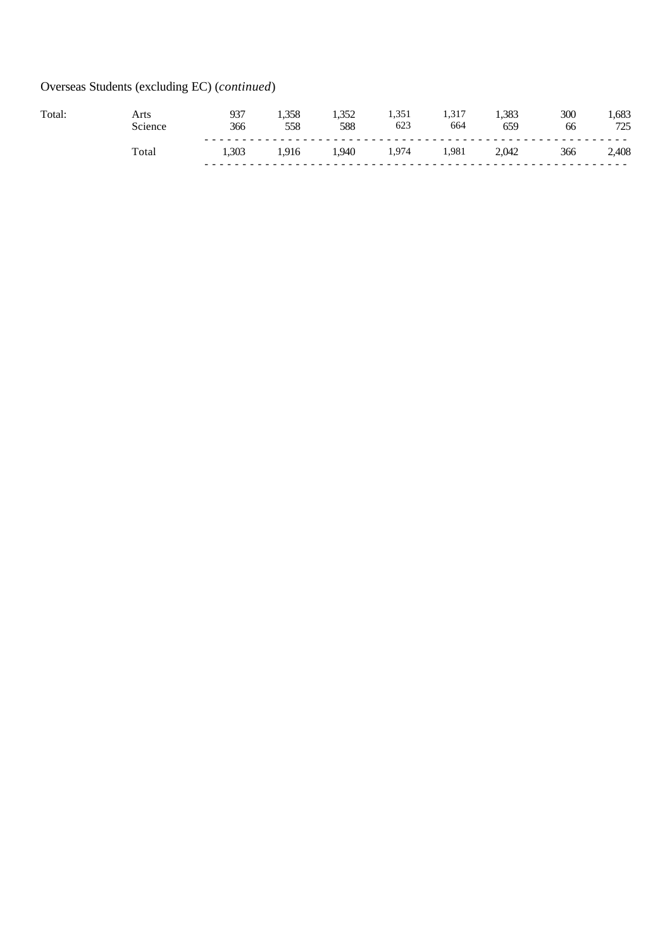# Overseas Students (excluding EC) (*continued*)

| <b>Total</b> | Nrts.<br>Science | 027<br>366 | 25C<br>558 | 250<br>588 | 1, J J 1<br>623 | .<br>664 | .383<br>659 | 300<br>66 | .683<br>725<br>ت کے ا |
|--------------|------------------|------------|------------|------------|-----------------|----------|-------------|-----------|-----------------------|
|              | `otar            | 1.303      |            | 1.940      | ,974            | 1.981    | 2,042       | 366       | 2,408                 |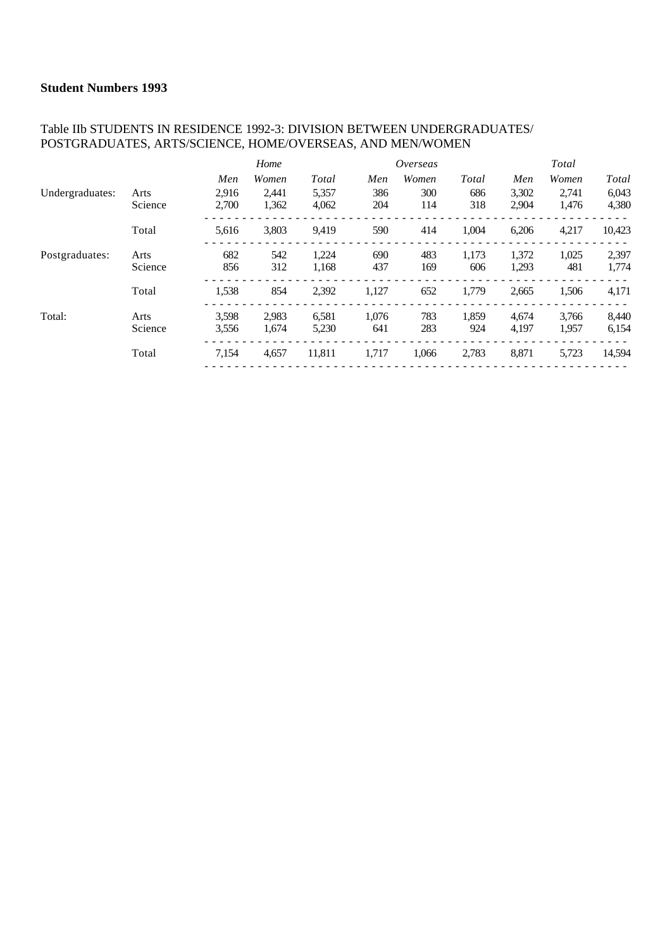#### Table IIb STUDENTS IN RESIDENCE 1992-3: DIVISION BETWEEN UNDERGRADUATES/ POSTGRADUATES, ARTS/SCIENCE, HOME/OVERSEAS, AND MEN/WOMEN

|                 |         |       | Home  |        |       | Overseas |       |       | Total |        |
|-----------------|---------|-------|-------|--------|-------|----------|-------|-------|-------|--------|
|                 |         | Men   | Women | Total  | Men   | Women    | Total | Men   | Women | Total  |
| Undergraduates: | Arts    | 2.916 | 2.441 | 5,357  | 386   | 300      | 686   | 3,302 | 2,741 | 6,043  |
|                 | Science | 2,700 | 1,362 | 4,062  | 204   | 114      | 318   | 2,904 | 1,476 | 4,380  |
|                 | Total   | 5,616 | 3,803 | 9,419  | 590   | 414      | 1,004 | 6,206 | 4,217 | 10,423 |
| Postgraduates:  | Arts    | 682   | 542   | 1,224  | 690   | 483      | 1,173 | 1,372 | 1,025 | 2,397  |
|                 | Science | 856   | 312   | 1,168  | 437   | 169      | 606   | 1,293 | 481   | 1,774  |
|                 | Total   | 1,538 | 854   | 2,392  | 1,127 | 652      | 1,779 | 2,665 | 1,506 | 4,171  |
| Total:          | Arts    | 3,598 | 2.983 | 6,581  | 1.076 | 783      | 1,859 | 4,674 | 3,766 | 8,440  |
|                 | Science | 3,556 | 1.674 | 5,230  | 641   | 283      | 924   | 4.197 | 1,957 | 6,154  |
|                 | Total   | 7,154 | 4,657 | 11,811 | 1,717 | 1,066    | 2,783 | 8,871 | 5,723 | 14,594 |
|                 |         |       |       |        |       |          |       |       |       |        |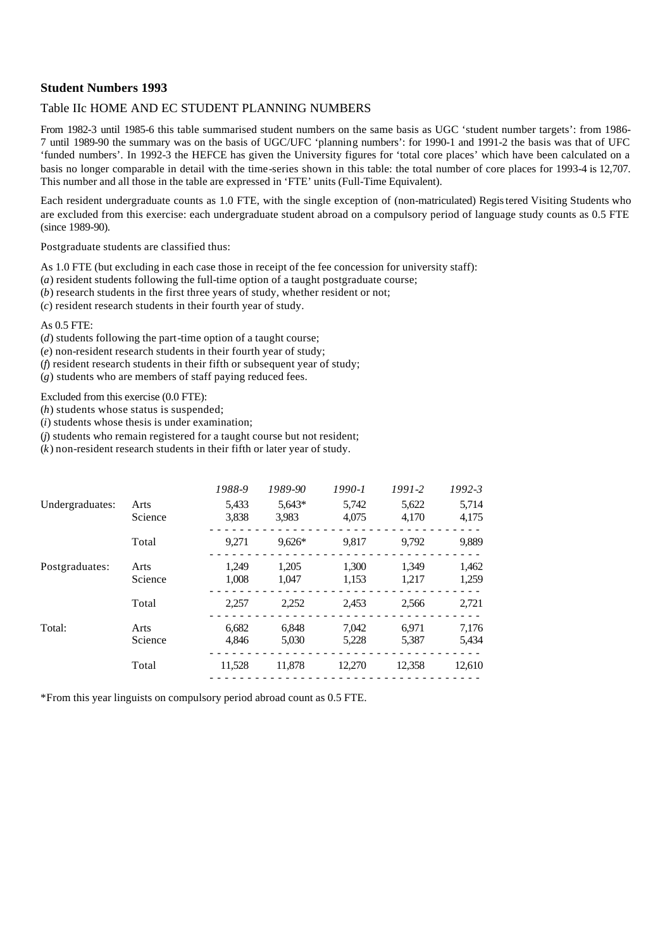#### Table IIc HOME AND EC STUDENT PLANNING NUMBERS

From 1982-3 until 1985-6 this table summarised student numbers on the same basis as UGC 'student number targets': from 1986- 7 until 1989-90 the summary was on the basis of UGC/UFC 'planning numbers': for 1990-1 and 1991-2 the basis was that of UFC 'funded numbers'. In 1992-3 the HEFCE has given the University figures for 'total core places' which have been calculated on a basis no longer comparable in detail with the time-series shown in this table: the total number of core places for 1993-4 is 12,707. This number and all those in the table are expressed in 'FTE' units (Full-Time Equivalent).

Each resident undergraduate counts as 1.0 FTE, with the single exception of (non-matriculated) Registered Visiting Students who are excluded from this exercise: each undergraduate student abroad on a compulsory period of language study counts as 0.5 FTE (since 1989-90).

Postgraduate students are classified thus:

As 1.0 FTE (but excluding in each case those in receipt of the fee concession for university staff):

(*a*) resident students following the full-time option of a taught postgraduate course;

(*b*) research students in the first three years of study, whether resident or not;

(*c*) resident research students in their fourth year of study.

#### As 0.5 FTE:

(*d*) students following the part-time option of a taught course;

(*e*) non-resident research students in their fourth year of study;

(*f*) resident research students in their fifth or subsequent year of study;

(*g*) students who are members of staff paying reduced fees.

Excluded from this exercise (0.0 FTE):

(*h*) students whose status is suspended;

(*i*) students whose thesis is under examination;

(*j*) students who remain registered for a taught course but not resident;

(*k*) non-resident research students in their fifth or later year of study.

|                 |                 | 1988-9         | 1989-90         | $1990 - 1$     | $1991 - 2$     | $1992 - 3$     |
|-----------------|-----------------|----------------|-----------------|----------------|----------------|----------------|
| Undergraduates: | Arts<br>Science | 5,433<br>3,838 | 5,643*<br>3,983 | 5,742<br>4,075 | 5,622<br>4,170 | 5,714<br>4,175 |
|                 | Total           | 9.271          | $9.626*$        | 9,817          | 9.792          | 9,889          |
| Postgraduates:  | Arts<br>Science | 1.249<br>1.008 | 1,205<br>1.047  | 1,300<br>1,153 | 1.349<br>1,217 | 1,462<br>1,259 |
|                 | Total           | 2.257          | 2,252           | 2,453          | 2.566          | 2,721          |
| Total:          | Arts<br>Science | 6.682<br>4.846 | 6.848<br>5,030  | 7.042<br>5,228 | 6.971<br>5,387 | 7,176<br>5,434 |
|                 | Total           | 11,528         | 11,878          | 12,270         | 12,358         | 12,610         |

\*From this year linguists on compulsory period abroad count as 0.5 FTE.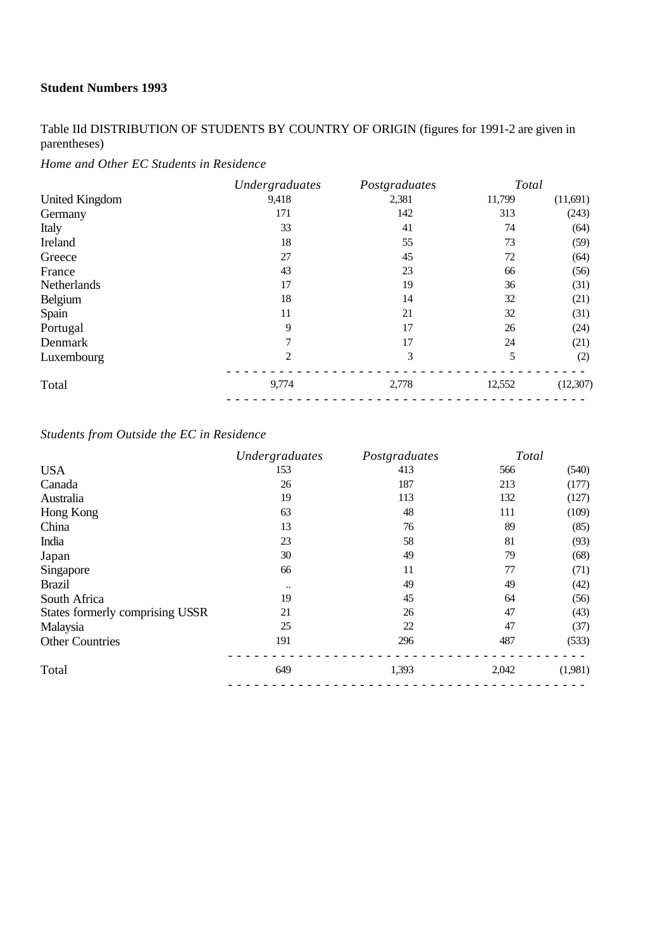Table IId DISTRIBUTION OF STUDENTS BY COUNTRY OF ORIGIN (figures for 1991-2 are given in parentheses)

*Home and Other EC Students in Residence*

|                       | Undergraduates | Postgraduates | Total  |          |
|-----------------------|----------------|---------------|--------|----------|
| <b>United Kingdom</b> | 9,418          | 2,381         | 11,799 | (11,691) |
| Germany               | 171            | 142           | 313    | (243)    |
| Italy                 | 33             | 41            | 74     | (64)     |
| Ireland               | 18             | 55            | 73     | (59)     |
| Greece                | 27             | 45            | 72     | (64)     |
| France                | 43             | 23            | 66     | (56)     |
| Netherlands           | 17             | 19            | 36     | (31)     |
| <b>Belgium</b>        | 18             | 14            | 32     | (21)     |
| Spain                 | 11             | 21            | 32     | (31)     |
| Portugal              | 9              | 17            | 26     | (24)     |
| Denmark               | 7              | 17            | 24     | (21)     |
| Luxembourg            | 2              | 3             | 5      | (2)      |
| Total                 | 9,774          | 2,778         | 12,552 | (12,307) |

### *Students from Outside the EC in Residence*

|                                 | Undergraduates      | Postgraduates | Total |         |
|---------------------------------|---------------------|---------------|-------|---------|
| <b>USA</b>                      | 153                 | 413           | 566   | (540)   |
| Canada                          | 26                  | 187           | 213   | (177)   |
| Australia                       | 19                  | 113           | 132   | (127)   |
| Hong Kong                       | 63                  | 48            | 111   | (109)   |
| China                           | 13                  | 76            | 89    | (85)    |
| India                           | 23                  | 58            | 81    | (93)    |
| Japan                           | 30                  | 49            | 79    | (68)    |
| Singapore                       | 66                  | 11            | 77    | (71)    |
| <b>Brazil</b>                   | $\bullet$ $\bullet$ | 49            | 49    | (42)    |
| South Africa                    | 19                  | 45            | 64    | (56)    |
| States formerly comprising USSR | 21                  | 26            | 47    | (43)    |
| Malaysia                        | 25                  | 22            | 47    | (37)    |
| <b>Other Countries</b>          | 191                 | 296           | 487   | (533)   |
| Total                           | 649                 | 1,393         | 2,042 | (1,981) |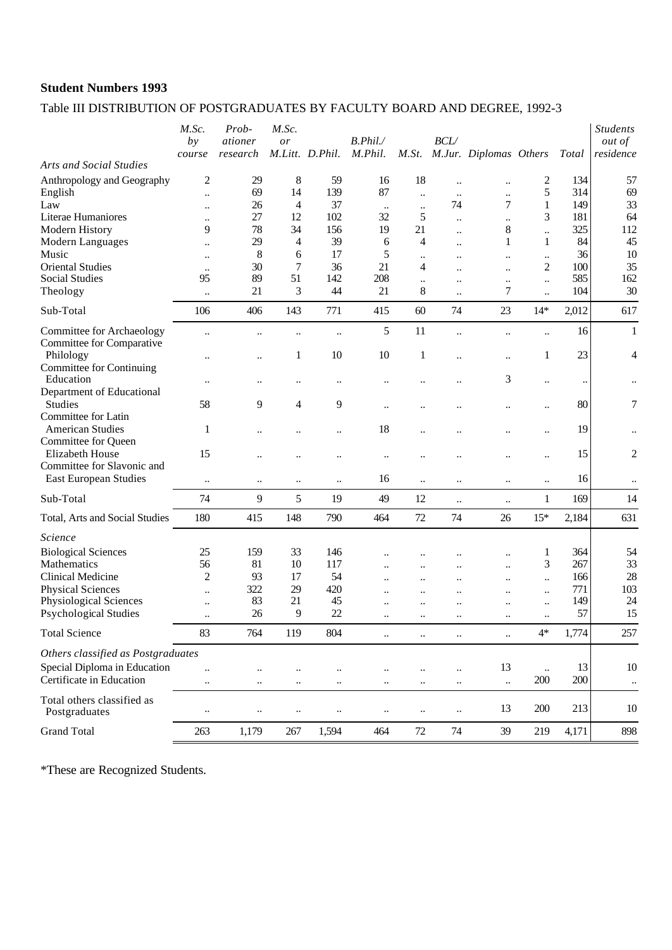## Table III DISTRIBUTION OF POSTGRADUATES BY FACULTY BOARD AND DEGREE, 1992-3

| M.Jur. Diplomas Others<br>M.Litt. D.Phil.<br><b>Arts and Social Studies</b><br>$\overline{c}$<br>29<br>8<br>18<br>134<br>57<br>59<br>16<br>$\overline{\mathbf{c}}$<br>$\ddot{\phantom{a}}$<br>$\ddotsc$<br>69<br>14<br>139<br>87<br>5<br>314<br>69<br>English<br>$\ddotsc$<br>$\ddotsc$<br><br>$\ddotsc$<br>33<br>37<br>74<br>7<br>$\mathbf{1}$<br>149<br>26<br>4<br>Law<br>$\ddotsc$<br><br><br>27<br>102<br>5<br>3<br>181<br>64<br>Literae Humaniores<br>12<br>32<br>$\ddotsc$<br>$\ddot{\phantom{a}}$<br>$\ddot{\phantom{0}}$<br>78<br>325<br>112<br>Modern History<br>9<br>34<br>156<br>19<br>21<br>8<br>$\ddot{\phantom{a}}$<br>$\ddotsc$<br>39<br>45<br>29<br>$\mathbf{1}$<br>84<br>Modern Languages<br>$\overline{4}$<br>6<br>4<br>1<br>$\ddot{\phantom{0}}$<br>$\ddotsc$<br>36<br>10<br>8<br>17<br>5<br>Music<br>6<br>$\ddotsc$<br>$\ddot{\phantom{0}}$<br>$\ddotsc$<br>$\ddotsc$<br>$\ddotsc$<br>35<br><b>Oriental Studies</b><br>30<br>7<br>36<br>21<br>2<br>100<br>4<br>$\ddot{\phantom{a}}$<br><br><br>162<br><b>Social Studies</b><br>95<br>89<br>51<br>142<br>208<br>585<br>$\ddot{\phantom{a}}$<br>$\ddotsc$<br>$\ddotsc$<br>$\ddotsc$<br>3<br>7<br>30<br>21<br>44<br>21<br>8<br>104<br>Theology<br>$\ddot{\phantom{a}}$<br>$\ddot{\phantom{0}}$<br>$\ldots$<br>Sub-Total<br>406<br>143<br>771<br>60<br>74<br>23<br>$14*$<br>2,012<br>617<br>106<br>415<br>5<br>11<br>16<br>$\mathbf{1}$<br>$\ddot{\phantom{a}}$<br>$\ldots$<br>$\ddot{\phantom{0}}$<br>$\ddot{\phantom{a}}$<br><br><br><br>Committee for Comparative<br>10<br>23<br>4<br>Philology<br>10<br>1<br>1<br>1<br><br><br><b>Committee for Continuing</b><br>3<br>Education<br>$\ddot{\phantom{0}}$<br>$\ddotsc$<br>$\ddot{\phantom{a}}$<br>$\ddotsc$<br>$\ddotsc$<br><br><br><br>Department of Educational<br>$\boldsymbol{7}$<br>Studies<br>80<br>58<br>9<br>4<br>9<br>$\ddotsc$<br>$\ddot{\phantom{a}}$<br><br><br><br>Committee for Latin<br><b>American Studies</b><br>18<br>19<br>$\mathbf{1}$<br>$\ddotsc$<br>$\ddot{\phantom{0}}$<br>$\ddotsc$<br>$\ddotsc$<br>$\ddot{\phantom{a}}$<br><br>$\ddotsc$<br><b>Committee for Queen</b><br>$\overline{c}$<br>15<br>Elizabeth House<br>15<br>$\ddot{\phantom{a}}$<br><br><br>$\ddot{\phantom{0}}$<br>Committee for Slavonic and<br>East European Studies<br>16<br>16<br>$\ddotsc$<br>$\ddotsc$<br>$\ddotsc$<br>$\ddotsc$<br>$\ddotsc$<br>$\ddotsc$<br>$\ddotsc$<br>$\ddotsc$<br>9<br>Sub-Total<br>74<br>5<br>19<br>49<br>12<br>169<br>14<br>$\mathbf{1}$<br>$\ddotsc$<br>$\ddotsc$<br>180<br>148<br>790<br>464<br>$72\,$<br>74<br>$15*$<br>2,184<br>631<br>Total, Arts and Social Studies<br>415<br>26<br><b>Biological Sciences</b><br>25<br>159<br>33<br>146<br>364<br>54<br>1<br><br>33<br>81<br>3<br>56<br>10<br>117<br>267<br>$\ddot{\phantom{a}}$<br>$\ddot{\phantom{a}}$<br>$\ddot{\phantom{a}}$<br>28<br>$\overline{c}$<br>93<br>17<br>54<br>Clinical Medicine<br>166<br>$\ddot{\phantom{a}}$<br><br><br><br>103<br>322<br>29<br>771<br><b>Physical Sciences</b><br>420<br>$\ddot{\phantom{0}}$<br>$\ddotsc$<br>$\ddot{\phantom{a}}$<br><br>$\ddot{\phantom{a}}$<br>$\ddot{\phantom{a}}$<br>Physiological Sciences<br>83<br>21<br>45<br>149<br>24<br>$\ddot{\phantom{0}}$<br>$\ddotsc$<br><br><br><br>57<br>15<br><b>Psychological Studies</b><br>26<br>9<br>22<br>$\ddot{\phantom{0}}$<br>$\ddotsc$<br>$\ddotsc$<br>$\ddotsc$<br>$\ddotsc$<br>$\ddotsc$<br>1,774<br><b>Total Science</b><br>83<br>764<br>119<br>804<br>$4*$<br>257<br>$\ddot{\phantom{0}}$<br>$\ddot{\phantom{a}}$<br>$\ddot{\phantom{a}}$<br>$\ddotsc$<br>Others classified as Postgraduates<br>Special Diploma in Education<br>13<br>13<br>10<br>$\ddotsc$<br>$\ddot{\phantom{0}}$<br>$\ddotsc$<br>200<br>200<br>$\ddotsc$<br>$\ddotsc$<br>$\ddotsc$<br>$\ddotsc$<br>$\ddotsc$<br>$\ddotsc$<br>$\ddotsc$<br>$\ddotsc$<br>$\ddotsc$<br>Total others classified as<br>13<br>200<br>213<br>10<br>Postgraduates<br>$\ddotsc$<br>$\ddotsc$<br>$\ddotsc$<br>$\ddotsc$<br>$\ddotsc$<br>$\ddotsc$<br>$\ddotsc$<br><b>Grand Total</b><br>$72\,$<br>74<br>39<br>4,171<br>898<br>263<br>1,179<br>267<br>1,594<br>464<br>219 |                                  | M.Sc.<br>by | Prob-<br>ationer | M.Sc.<br>or | B. Phil. |       | BCL |  |       | <b>Students</b><br><i>out of</i> |
|------------------------------------------------------------------------------------------------------------------------------------------------------------------------------------------------------------------------------------------------------------------------------------------------------------------------------------------------------------------------------------------------------------------------------------------------------------------------------------------------------------------------------------------------------------------------------------------------------------------------------------------------------------------------------------------------------------------------------------------------------------------------------------------------------------------------------------------------------------------------------------------------------------------------------------------------------------------------------------------------------------------------------------------------------------------------------------------------------------------------------------------------------------------------------------------------------------------------------------------------------------------------------------------------------------------------------------------------------------------------------------------------------------------------------------------------------------------------------------------------------------------------------------------------------------------------------------------------------------------------------------------------------------------------------------------------------------------------------------------------------------------------------------------------------------------------------------------------------------------------------------------------------------------------------------------------------------------------------------------------------------------------------------------------------------------------------------------------------------------------------------------------------------------------------------------------------------------------------------------------------------------------------------------------------------------------------------------------------------------------------------------------------------------------------------------------------------------------------------------------------------------------------------------------------------------------------------------------------------------------------------------------------------------------------------------------------------------------------------------------------------------------------------------------------------------------------------------------------------------------------------------------------------------------------------------------------------------------------------------------------------------------------------------------------------------------------------------------------------------------------------------------------------------------------------------------------------------------------------------------------------------------------------------------------------------------------------------------------------------------------------------------------------------------------------------------------------------------------------------------------------------------------------------------------------------------------------------------------------------------------------------------------------------------------------------------------------------------------------------------------------------------------------------------------------------------------------------------------------------------------------------------------------------------------------------------------------------------------------------------------------------------------------------------------------------------------------------------------------------------|----------------------------------|-------------|------------------|-------------|----------|-------|-----|--|-------|----------------------------------|
|                                                                                                                                                                                                                                                                                                                                                                                                                                                                                                                                                                                                                                                                                                                                                                                                                                                                                                                                                                                                                                                                                                                                                                                                                                                                                                                                                                                                                                                                                                                                                                                                                                                                                                                                                                                                                                                                                                                                                                                                                                                                                                                                                                                                                                                                                                                                                                                                                                                                                                                                                                                                                                                                                                                                                                                                                                                                                                                                                                                                                                                                                                                                                                                                                                                                                                                                                                                                                                                                                                                                                                                                                                                                                                                                                                                                                                                                                                                                                                                                                                                                                                                        |                                  | course      | research         |             | M.Phil.  | M.St. |     |  | Total | residence                        |
|                                                                                                                                                                                                                                                                                                                                                                                                                                                                                                                                                                                                                                                                                                                                                                                                                                                                                                                                                                                                                                                                                                                                                                                                                                                                                                                                                                                                                                                                                                                                                                                                                                                                                                                                                                                                                                                                                                                                                                                                                                                                                                                                                                                                                                                                                                                                                                                                                                                                                                                                                                                                                                                                                                                                                                                                                                                                                                                                                                                                                                                                                                                                                                                                                                                                                                                                                                                                                                                                                                                                                                                                                                                                                                                                                                                                                                                                                                                                                                                                                                                                                                                        | Anthropology and Geography       |             |                  |             |          |       |     |  |       |                                  |
|                                                                                                                                                                                                                                                                                                                                                                                                                                                                                                                                                                                                                                                                                                                                                                                                                                                                                                                                                                                                                                                                                                                                                                                                                                                                                                                                                                                                                                                                                                                                                                                                                                                                                                                                                                                                                                                                                                                                                                                                                                                                                                                                                                                                                                                                                                                                                                                                                                                                                                                                                                                                                                                                                                                                                                                                                                                                                                                                                                                                                                                                                                                                                                                                                                                                                                                                                                                                                                                                                                                                                                                                                                                                                                                                                                                                                                                                                                                                                                                                                                                                                                                        |                                  |             |                  |             |          |       |     |  |       |                                  |
|                                                                                                                                                                                                                                                                                                                                                                                                                                                                                                                                                                                                                                                                                                                                                                                                                                                                                                                                                                                                                                                                                                                                                                                                                                                                                                                                                                                                                                                                                                                                                                                                                                                                                                                                                                                                                                                                                                                                                                                                                                                                                                                                                                                                                                                                                                                                                                                                                                                                                                                                                                                                                                                                                                                                                                                                                                                                                                                                                                                                                                                                                                                                                                                                                                                                                                                                                                                                                                                                                                                                                                                                                                                                                                                                                                                                                                                                                                                                                                                                                                                                                                                        |                                  |             |                  |             |          |       |     |  |       |                                  |
|                                                                                                                                                                                                                                                                                                                                                                                                                                                                                                                                                                                                                                                                                                                                                                                                                                                                                                                                                                                                                                                                                                                                                                                                                                                                                                                                                                                                                                                                                                                                                                                                                                                                                                                                                                                                                                                                                                                                                                                                                                                                                                                                                                                                                                                                                                                                                                                                                                                                                                                                                                                                                                                                                                                                                                                                                                                                                                                                                                                                                                                                                                                                                                                                                                                                                                                                                                                                                                                                                                                                                                                                                                                                                                                                                                                                                                                                                                                                                                                                                                                                                                                        |                                  |             |                  |             |          |       |     |  |       |                                  |
|                                                                                                                                                                                                                                                                                                                                                                                                                                                                                                                                                                                                                                                                                                                                                                                                                                                                                                                                                                                                                                                                                                                                                                                                                                                                                                                                                                                                                                                                                                                                                                                                                                                                                                                                                                                                                                                                                                                                                                                                                                                                                                                                                                                                                                                                                                                                                                                                                                                                                                                                                                                                                                                                                                                                                                                                                                                                                                                                                                                                                                                                                                                                                                                                                                                                                                                                                                                                                                                                                                                                                                                                                                                                                                                                                                                                                                                                                                                                                                                                                                                                                                                        |                                  |             |                  |             |          |       |     |  |       |                                  |
|                                                                                                                                                                                                                                                                                                                                                                                                                                                                                                                                                                                                                                                                                                                                                                                                                                                                                                                                                                                                                                                                                                                                                                                                                                                                                                                                                                                                                                                                                                                                                                                                                                                                                                                                                                                                                                                                                                                                                                                                                                                                                                                                                                                                                                                                                                                                                                                                                                                                                                                                                                                                                                                                                                                                                                                                                                                                                                                                                                                                                                                                                                                                                                                                                                                                                                                                                                                                                                                                                                                                                                                                                                                                                                                                                                                                                                                                                                                                                                                                                                                                                                                        |                                  |             |                  |             |          |       |     |  |       |                                  |
|                                                                                                                                                                                                                                                                                                                                                                                                                                                                                                                                                                                                                                                                                                                                                                                                                                                                                                                                                                                                                                                                                                                                                                                                                                                                                                                                                                                                                                                                                                                                                                                                                                                                                                                                                                                                                                                                                                                                                                                                                                                                                                                                                                                                                                                                                                                                                                                                                                                                                                                                                                                                                                                                                                                                                                                                                                                                                                                                                                                                                                                                                                                                                                                                                                                                                                                                                                                                                                                                                                                                                                                                                                                                                                                                                                                                                                                                                                                                                                                                                                                                                                                        |                                  |             |                  |             |          |       |     |  |       |                                  |
|                                                                                                                                                                                                                                                                                                                                                                                                                                                                                                                                                                                                                                                                                                                                                                                                                                                                                                                                                                                                                                                                                                                                                                                                                                                                                                                                                                                                                                                                                                                                                                                                                                                                                                                                                                                                                                                                                                                                                                                                                                                                                                                                                                                                                                                                                                                                                                                                                                                                                                                                                                                                                                                                                                                                                                                                                                                                                                                                                                                                                                                                                                                                                                                                                                                                                                                                                                                                                                                                                                                                                                                                                                                                                                                                                                                                                                                                                                                                                                                                                                                                                                                        |                                  |             |                  |             |          |       |     |  |       |                                  |
|                                                                                                                                                                                                                                                                                                                                                                                                                                                                                                                                                                                                                                                                                                                                                                                                                                                                                                                                                                                                                                                                                                                                                                                                                                                                                                                                                                                                                                                                                                                                                                                                                                                                                                                                                                                                                                                                                                                                                                                                                                                                                                                                                                                                                                                                                                                                                                                                                                                                                                                                                                                                                                                                                                                                                                                                                                                                                                                                                                                                                                                                                                                                                                                                                                                                                                                                                                                                                                                                                                                                                                                                                                                                                                                                                                                                                                                                                                                                                                                                                                                                                                                        |                                  |             |                  |             |          |       |     |  |       |                                  |
|                                                                                                                                                                                                                                                                                                                                                                                                                                                                                                                                                                                                                                                                                                                                                                                                                                                                                                                                                                                                                                                                                                                                                                                                                                                                                                                                                                                                                                                                                                                                                                                                                                                                                                                                                                                                                                                                                                                                                                                                                                                                                                                                                                                                                                                                                                                                                                                                                                                                                                                                                                                                                                                                                                                                                                                                                                                                                                                                                                                                                                                                                                                                                                                                                                                                                                                                                                                                                                                                                                                                                                                                                                                                                                                                                                                                                                                                                                                                                                                                                                                                                                                        |                                  |             |                  |             |          |       |     |  |       |                                  |
|                                                                                                                                                                                                                                                                                                                                                                                                                                                                                                                                                                                                                                                                                                                                                                                                                                                                                                                                                                                                                                                                                                                                                                                                                                                                                                                                                                                                                                                                                                                                                                                                                                                                                                                                                                                                                                                                                                                                                                                                                                                                                                                                                                                                                                                                                                                                                                                                                                                                                                                                                                                                                                                                                                                                                                                                                                                                                                                                                                                                                                                                                                                                                                                                                                                                                                                                                                                                                                                                                                                                                                                                                                                                                                                                                                                                                                                                                                                                                                                                                                                                                                                        | <b>Committee for Archaeology</b> |             |                  |             |          |       |     |  |       |                                  |
|                                                                                                                                                                                                                                                                                                                                                                                                                                                                                                                                                                                                                                                                                                                                                                                                                                                                                                                                                                                                                                                                                                                                                                                                                                                                                                                                                                                                                                                                                                                                                                                                                                                                                                                                                                                                                                                                                                                                                                                                                                                                                                                                                                                                                                                                                                                                                                                                                                                                                                                                                                                                                                                                                                                                                                                                                                                                                                                                                                                                                                                                                                                                                                                                                                                                                                                                                                                                                                                                                                                                                                                                                                                                                                                                                                                                                                                                                                                                                                                                                                                                                                                        |                                  |             |                  |             |          |       |     |  |       |                                  |
|                                                                                                                                                                                                                                                                                                                                                                                                                                                                                                                                                                                                                                                                                                                                                                                                                                                                                                                                                                                                                                                                                                                                                                                                                                                                                                                                                                                                                                                                                                                                                                                                                                                                                                                                                                                                                                                                                                                                                                                                                                                                                                                                                                                                                                                                                                                                                                                                                                                                                                                                                                                                                                                                                                                                                                                                                                                                                                                                                                                                                                                                                                                                                                                                                                                                                                                                                                                                                                                                                                                                                                                                                                                                                                                                                                                                                                                                                                                                                                                                                                                                                                                        |                                  |             |                  |             |          |       |     |  |       |                                  |
|                                                                                                                                                                                                                                                                                                                                                                                                                                                                                                                                                                                                                                                                                                                                                                                                                                                                                                                                                                                                                                                                                                                                                                                                                                                                                                                                                                                                                                                                                                                                                                                                                                                                                                                                                                                                                                                                                                                                                                                                                                                                                                                                                                                                                                                                                                                                                                                                                                                                                                                                                                                                                                                                                                                                                                                                                                                                                                                                                                                                                                                                                                                                                                                                                                                                                                                                                                                                                                                                                                                                                                                                                                                                                                                                                                                                                                                                                                                                                                                                                                                                                                                        |                                  |             |                  |             |          |       |     |  |       |                                  |
|                                                                                                                                                                                                                                                                                                                                                                                                                                                                                                                                                                                                                                                                                                                                                                                                                                                                                                                                                                                                                                                                                                                                                                                                                                                                                                                                                                                                                                                                                                                                                                                                                                                                                                                                                                                                                                                                                                                                                                                                                                                                                                                                                                                                                                                                                                                                                                                                                                                                                                                                                                                                                                                                                                                                                                                                                                                                                                                                                                                                                                                                                                                                                                                                                                                                                                                                                                                                                                                                                                                                                                                                                                                                                                                                                                                                                                                                                                                                                                                                                                                                                                                        |                                  |             |                  |             |          |       |     |  |       |                                  |
|                                                                                                                                                                                                                                                                                                                                                                                                                                                                                                                                                                                                                                                                                                                                                                                                                                                                                                                                                                                                                                                                                                                                                                                                                                                                                                                                                                                                                                                                                                                                                                                                                                                                                                                                                                                                                                                                                                                                                                                                                                                                                                                                                                                                                                                                                                                                                                                                                                                                                                                                                                                                                                                                                                                                                                                                                                                                                                                                                                                                                                                                                                                                                                                                                                                                                                                                                                                                                                                                                                                                                                                                                                                                                                                                                                                                                                                                                                                                                                                                                                                                                                                        |                                  |             |                  |             |          |       |     |  |       |                                  |
|                                                                                                                                                                                                                                                                                                                                                                                                                                                                                                                                                                                                                                                                                                                                                                                                                                                                                                                                                                                                                                                                                                                                                                                                                                                                                                                                                                                                                                                                                                                                                                                                                                                                                                                                                                                                                                                                                                                                                                                                                                                                                                                                                                                                                                                                                                                                                                                                                                                                                                                                                                                                                                                                                                                                                                                                                                                                                                                                                                                                                                                                                                                                                                                                                                                                                                                                                                                                                                                                                                                                                                                                                                                                                                                                                                                                                                                                                                                                                                                                                                                                                                                        |                                  |             |                  |             |          |       |     |  |       |                                  |
|                                                                                                                                                                                                                                                                                                                                                                                                                                                                                                                                                                                                                                                                                                                                                                                                                                                                                                                                                                                                                                                                                                                                                                                                                                                                                                                                                                                                                                                                                                                                                                                                                                                                                                                                                                                                                                                                                                                                                                                                                                                                                                                                                                                                                                                                                                                                                                                                                                                                                                                                                                                                                                                                                                                                                                                                                                                                                                                                                                                                                                                                                                                                                                                                                                                                                                                                                                                                                                                                                                                                                                                                                                                                                                                                                                                                                                                                                                                                                                                                                                                                                                                        |                                  |             |                  |             |          |       |     |  |       |                                  |
|                                                                                                                                                                                                                                                                                                                                                                                                                                                                                                                                                                                                                                                                                                                                                                                                                                                                                                                                                                                                                                                                                                                                                                                                                                                                                                                                                                                                                                                                                                                                                                                                                                                                                                                                                                                                                                                                                                                                                                                                                                                                                                                                                                                                                                                                                                                                                                                                                                                                                                                                                                                                                                                                                                                                                                                                                                                                                                                                                                                                                                                                                                                                                                                                                                                                                                                                                                                                                                                                                                                                                                                                                                                                                                                                                                                                                                                                                                                                                                                                                                                                                                                        |                                  |             |                  |             |          |       |     |  |       |                                  |
|                                                                                                                                                                                                                                                                                                                                                                                                                                                                                                                                                                                                                                                                                                                                                                                                                                                                                                                                                                                                                                                                                                                                                                                                                                                                                                                                                                                                                                                                                                                                                                                                                                                                                                                                                                                                                                                                                                                                                                                                                                                                                                                                                                                                                                                                                                                                                                                                                                                                                                                                                                                                                                                                                                                                                                                                                                                                                                                                                                                                                                                                                                                                                                                                                                                                                                                                                                                                                                                                                                                                                                                                                                                                                                                                                                                                                                                                                                                                                                                                                                                                                                                        | Science                          |             |                  |             |          |       |     |  |       |                                  |
|                                                                                                                                                                                                                                                                                                                                                                                                                                                                                                                                                                                                                                                                                                                                                                                                                                                                                                                                                                                                                                                                                                                                                                                                                                                                                                                                                                                                                                                                                                                                                                                                                                                                                                                                                                                                                                                                                                                                                                                                                                                                                                                                                                                                                                                                                                                                                                                                                                                                                                                                                                                                                                                                                                                                                                                                                                                                                                                                                                                                                                                                                                                                                                                                                                                                                                                                                                                                                                                                                                                                                                                                                                                                                                                                                                                                                                                                                                                                                                                                                                                                                                                        |                                  |             |                  |             |          |       |     |  |       |                                  |
|                                                                                                                                                                                                                                                                                                                                                                                                                                                                                                                                                                                                                                                                                                                                                                                                                                                                                                                                                                                                                                                                                                                                                                                                                                                                                                                                                                                                                                                                                                                                                                                                                                                                                                                                                                                                                                                                                                                                                                                                                                                                                                                                                                                                                                                                                                                                                                                                                                                                                                                                                                                                                                                                                                                                                                                                                                                                                                                                                                                                                                                                                                                                                                                                                                                                                                                                                                                                                                                                                                                                                                                                                                                                                                                                                                                                                                                                                                                                                                                                                                                                                                                        | Mathematics                      |             |                  |             |          |       |     |  |       |                                  |
|                                                                                                                                                                                                                                                                                                                                                                                                                                                                                                                                                                                                                                                                                                                                                                                                                                                                                                                                                                                                                                                                                                                                                                                                                                                                                                                                                                                                                                                                                                                                                                                                                                                                                                                                                                                                                                                                                                                                                                                                                                                                                                                                                                                                                                                                                                                                                                                                                                                                                                                                                                                                                                                                                                                                                                                                                                                                                                                                                                                                                                                                                                                                                                                                                                                                                                                                                                                                                                                                                                                                                                                                                                                                                                                                                                                                                                                                                                                                                                                                                                                                                                                        |                                  |             |                  |             |          |       |     |  |       |                                  |
|                                                                                                                                                                                                                                                                                                                                                                                                                                                                                                                                                                                                                                                                                                                                                                                                                                                                                                                                                                                                                                                                                                                                                                                                                                                                                                                                                                                                                                                                                                                                                                                                                                                                                                                                                                                                                                                                                                                                                                                                                                                                                                                                                                                                                                                                                                                                                                                                                                                                                                                                                                                                                                                                                                                                                                                                                                                                                                                                                                                                                                                                                                                                                                                                                                                                                                                                                                                                                                                                                                                                                                                                                                                                                                                                                                                                                                                                                                                                                                                                                                                                                                                        |                                  |             |                  |             |          |       |     |  |       |                                  |
|                                                                                                                                                                                                                                                                                                                                                                                                                                                                                                                                                                                                                                                                                                                                                                                                                                                                                                                                                                                                                                                                                                                                                                                                                                                                                                                                                                                                                                                                                                                                                                                                                                                                                                                                                                                                                                                                                                                                                                                                                                                                                                                                                                                                                                                                                                                                                                                                                                                                                                                                                                                                                                                                                                                                                                                                                                                                                                                                                                                                                                                                                                                                                                                                                                                                                                                                                                                                                                                                                                                                                                                                                                                                                                                                                                                                                                                                                                                                                                                                                                                                                                                        |                                  |             |                  |             |          |       |     |  |       |                                  |
|                                                                                                                                                                                                                                                                                                                                                                                                                                                                                                                                                                                                                                                                                                                                                                                                                                                                                                                                                                                                                                                                                                                                                                                                                                                                                                                                                                                                                                                                                                                                                                                                                                                                                                                                                                                                                                                                                                                                                                                                                                                                                                                                                                                                                                                                                                                                                                                                                                                                                                                                                                                                                                                                                                                                                                                                                                                                                                                                                                                                                                                                                                                                                                                                                                                                                                                                                                                                                                                                                                                                                                                                                                                                                                                                                                                                                                                                                                                                                                                                                                                                                                                        |                                  |             |                  |             |          |       |     |  |       |                                  |
|                                                                                                                                                                                                                                                                                                                                                                                                                                                                                                                                                                                                                                                                                                                                                                                                                                                                                                                                                                                                                                                                                                                                                                                                                                                                                                                                                                                                                                                                                                                                                                                                                                                                                                                                                                                                                                                                                                                                                                                                                                                                                                                                                                                                                                                                                                                                                                                                                                                                                                                                                                                                                                                                                                                                                                                                                                                                                                                                                                                                                                                                                                                                                                                                                                                                                                                                                                                                                                                                                                                                                                                                                                                                                                                                                                                                                                                                                                                                                                                                                                                                                                                        |                                  |             |                  |             |          |       |     |  |       |                                  |
|                                                                                                                                                                                                                                                                                                                                                                                                                                                                                                                                                                                                                                                                                                                                                                                                                                                                                                                                                                                                                                                                                                                                                                                                                                                                                                                                                                                                                                                                                                                                                                                                                                                                                                                                                                                                                                                                                                                                                                                                                                                                                                                                                                                                                                                                                                                                                                                                                                                                                                                                                                                                                                                                                                                                                                                                                                                                                                                                                                                                                                                                                                                                                                                                                                                                                                                                                                                                                                                                                                                                                                                                                                                                                                                                                                                                                                                                                                                                                                                                                                                                                                                        |                                  |             |                  |             |          |       |     |  |       |                                  |
|                                                                                                                                                                                                                                                                                                                                                                                                                                                                                                                                                                                                                                                                                                                                                                                                                                                                                                                                                                                                                                                                                                                                                                                                                                                                                                                                                                                                                                                                                                                                                                                                                                                                                                                                                                                                                                                                                                                                                                                                                                                                                                                                                                                                                                                                                                                                                                                                                                                                                                                                                                                                                                                                                                                                                                                                                                                                                                                                                                                                                                                                                                                                                                                                                                                                                                                                                                                                                                                                                                                                                                                                                                                                                                                                                                                                                                                                                                                                                                                                                                                                                                                        |                                  |             |                  |             |          |       |     |  |       |                                  |
|                                                                                                                                                                                                                                                                                                                                                                                                                                                                                                                                                                                                                                                                                                                                                                                                                                                                                                                                                                                                                                                                                                                                                                                                                                                                                                                                                                                                                                                                                                                                                                                                                                                                                                                                                                                                                                                                                                                                                                                                                                                                                                                                                                                                                                                                                                                                                                                                                                                                                                                                                                                                                                                                                                                                                                                                                                                                                                                                                                                                                                                                                                                                                                                                                                                                                                                                                                                                                                                                                                                                                                                                                                                                                                                                                                                                                                                                                                                                                                                                                                                                                                                        | Certificate in Education         |             |                  |             |          |       |     |  |       |                                  |
|                                                                                                                                                                                                                                                                                                                                                                                                                                                                                                                                                                                                                                                                                                                                                                                                                                                                                                                                                                                                                                                                                                                                                                                                                                                                                                                                                                                                                                                                                                                                                                                                                                                                                                                                                                                                                                                                                                                                                                                                                                                                                                                                                                                                                                                                                                                                                                                                                                                                                                                                                                                                                                                                                                                                                                                                                                                                                                                                                                                                                                                                                                                                                                                                                                                                                                                                                                                                                                                                                                                                                                                                                                                                                                                                                                                                                                                                                                                                                                                                                                                                                                                        |                                  |             |                  |             |          |       |     |  |       |                                  |
|                                                                                                                                                                                                                                                                                                                                                                                                                                                                                                                                                                                                                                                                                                                                                                                                                                                                                                                                                                                                                                                                                                                                                                                                                                                                                                                                                                                                                                                                                                                                                                                                                                                                                                                                                                                                                                                                                                                                                                                                                                                                                                                                                                                                                                                                                                                                                                                                                                                                                                                                                                                                                                                                                                                                                                                                                                                                                                                                                                                                                                                                                                                                                                                                                                                                                                                                                                                                                                                                                                                                                                                                                                                                                                                                                                                                                                                                                                                                                                                                                                                                                                                        |                                  |             |                  |             |          |       |     |  |       |                                  |

\*These are Recognized Students.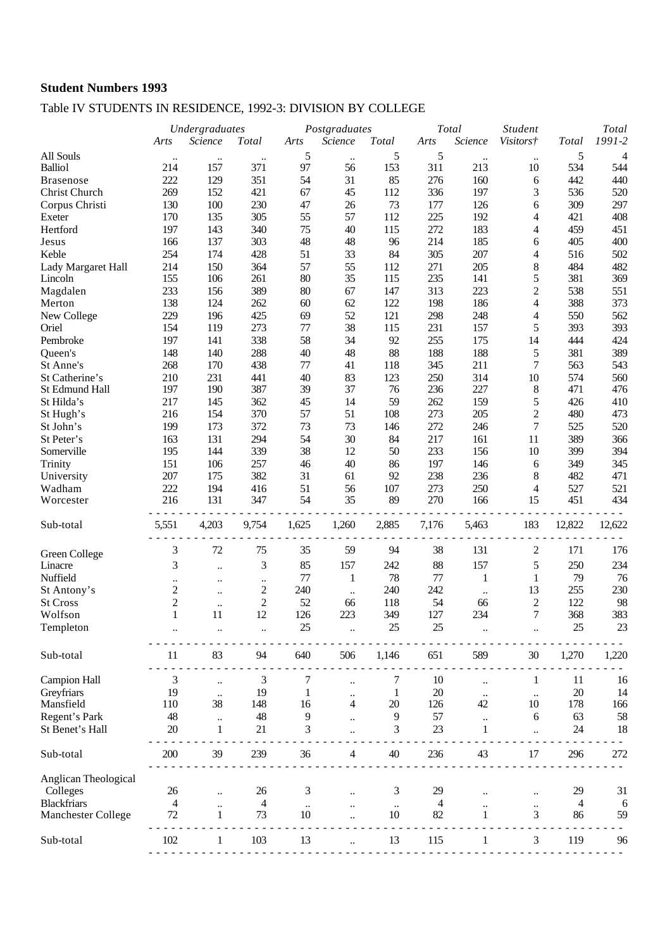### Table IV STUDENTS IN RESIDENCE, 1992-3: DIVISION BY COLLEGE

|                      |                  | Undergraduates       |                          | Postgraduates |                      |           | Total |                      |                                    | Total          |                |
|----------------------|------------------|----------------------|--------------------------|---------------|----------------------|-----------|-------|----------------------|------------------------------------|----------------|----------------|
|                      | Arts             | Science              | <b>Total</b>             | Arts          | Science              | Total     | Arts  | Science              | <b>Student</b><br><i>Visitors†</i> | <b>Total</b>   | 1991-2         |
| All Souls            |                  |                      |                          | 5             |                      | 5         | 5     |                      |                                    | 5              | $\overline{4}$ |
| <b>Balliol</b>       | $\ddotsc$<br>214 | $\ddotsc$<br>157     | 371                      | 97            | $\ddotsc$<br>56      | 153       | 311   | $\ddotsc$<br>213     | $\ddotsc$<br>10                    | 534            | 544            |
| <b>Brasenose</b>     | 222              | 129                  | 351                      | 54            | 31                   | 85        | 276   | 160                  | 6                                  | 442            | 440            |
| Christ Church        | 269              | 152                  | 421                      | 67            | 45                   | 112       | 336   | 197                  | 3                                  | 536            | 520            |
| Corpus Christi       | 130              | 100                  | 230                      | 47            | 26                   | 73        | 177   | 126                  | 6                                  | 309            | 297            |
| Exeter               | 170              | 135                  | 305                      | 55            | 57                   | 112       | 225   | 192                  | 4                                  | 421            | 408            |
| Hertford             | 197              | 143                  | 340                      | 75            | 40                   | 115       | 272   | 183                  | 4                                  | 459            | 451            |
| Jesus                | 166              | 137                  | 303                      | 48            | 48                   | 96        | 214   | 185                  | 6                                  | 405            | 400            |
|                      |                  |                      |                          |               |                      |           |       |                      |                                    |                |                |
| Keble                | 254              | 174                  | 428                      | 51            | 33                   | 84        | 305   | 207                  | 4                                  | 516            | 502            |
| Lady Margaret Hall   | 214              | 150                  | 364                      | 57            | 55                   | 112       | 271   | 205                  | 8                                  | 484            | 482            |
| Lincoln              | 155              | 106                  | 261                      | 80            | 35                   | 115       | 235   | 141                  | 5                                  | 381            | 369            |
| Magdalen             | 233              | 156                  | 389                      | 80            | 67                   | 147       | 313   | 223                  | $\overline{c}$                     | 538            | 551            |
| Merton               | 138              | 124                  | 262                      | 60            | 62                   | 122       | 198   | 186                  | 4                                  | 388            | 373            |
| New College          | 229              | 196                  | 425                      | 69            | 52                   | 121       | 298   | 248                  | 4                                  | 550            | 562            |
| Oriel                | 154              | 119                  | 273                      | $77\,$        | 38                   | 115       | 231   | 157                  | 5                                  | 393            | 393            |
| Pembroke             | 197              | 141                  | 338                      | 58            | 34                   | 92        | 255   | 175                  | 14                                 | 444            | 424            |
| Queen's              | 148              | 140                  | 288                      | 40            | 48                   | 88        | 188   | 188                  | 5                                  | 381            | 389            |
| St Anne's            | 268              | 170                  | 438                      | $77\,$        | 41                   | 118       | 345   | 211                  | $\tau$                             | 563            | 543            |
| St Catherine's       | 210              | 231                  | 441                      | 40            | 83                   | 123       | 250   | 314                  | 10                                 | 574            | 560            |
| St Edmund Hall       | 197              | 190                  | 387                      | 39            | 37                   | 76        | 236   | 227                  | $8\,$                              | 471            | 476            |
| St Hilda's           | 217              | 145                  | 362                      | 45            | 14                   | 59        | 262   | 159                  | 5                                  | 426            | 410            |
| St Hugh's            | 216              | 154                  | 370                      | 57            | 51                   | 108       | 273   | 205                  | $\overline{c}$                     | 480            | 473            |
| St John's            | 199              | 173                  | 372                      | 73            | 73                   | 146       | 272   | 246                  | $\boldsymbol{7}$                   | 525            | 520            |
| St Peter's           | 163              | 131                  | 294                      | 54            | 30                   | 84        | 217   | 161                  | 11                                 | 389            | 366            |
| Somerville           | 195              | 144                  | 339                      | 38            | 12                   | 50        | 233   | 156                  | 10                                 | 399            | 394            |
| Trinity              | 151              | 106                  | 257                      | 46            | 40                   | 86        | 197   | 146                  | 6                                  | 349            | 345            |
| University           | 207              | 175                  | 382                      | 31            | 61                   | 92        | 238   | 236                  | 8                                  | 482            | 471            |
| Wadham               | 222              | 194                  | 416                      | 51            | 56                   | 107       | 273   | 250                  | 4                                  | 527            | 521            |
| Worcester            | 216              | 131                  | 347                      | 54            | 35                   | 89        | 270   | 166                  | 15                                 | 451            | 434            |
|                      |                  |                      |                          |               |                      |           |       |                      |                                    |                |                |
| Sub-total            | 5,551            | 4,203                | 9,754                    | 1,625         | 1,260                | 2,885     | 7,176 | 5,463                | 183                                | 12,822         | 12,622         |
|                      | 3                | $72\,$               | 75                       | 35            | 59                   | 94        | 38    | 131                  | 2                                  | 171            | 176            |
| Green College        |                  |                      |                          |               |                      |           |       |                      |                                    |                |                |
| Linacre              | $\mathfrak{Z}$   | $\ldots$             | 3                        | 85            | 157                  | 242       | 88    | 157                  | 5                                  | 250            | 234            |
| Nuffield             | $\ddotsc$        | $\ddotsc$            | $\ddot{\phantom{0}}$     | 77            | $\mathbf{1}$         | 78        | 77    | $\mathbf{1}$         | $\mathbf{1}$                       | 79             | 76             |
| St Antony's          | $\mathfrak{2}$   | $\ddotsc$            | $\overline{\mathbf{c}}$  | 240           | $\ddotsc$            | 240       | 242   | $\ddotsc$            | 13                                 | 255            | 230            |
| <b>St Cross</b>      | $\overline{c}$   | $\ldots$             | $\overline{c}$           | 52            | 66                   | 118       | 54    | 66                   | $\mathfrak{2}$                     | 122            | 98             |
| Wolfson              | $\mathbf{1}$     | 11                   | 12                       | 126           | 223                  | 349       | 127   | 234                  | $\tau$                             | 368            | 383            |
| Templeton            |                  |                      |                          | 25            |                      | 25        | 25    |                      |                                    | 25             | 23             |
| Sub-total            | 11               | 83                   | 94                       | 640           | 506                  | 1,146     | 651   | 589                  | 30                                 | 1,270          | 1,220          |
| <b>Campion Hall</b>  | 3                |                      | 3                        | 7             |                      | 7         | 10    |                      |                                    | 11             | 16             |
|                      |                  | $\ddotsc$            |                          |               |                      |           |       |                      | 1                                  |                |                |
| Greyfriars           | 19               | $\ddotsc$            | 19                       | 1             | $\ddot{\phantom{0}}$ | 1         | 20    | $\ddot{\phantom{a}}$ | $\ldots$                           | $20\,$         | 14             |
| Mansfield            | 110              | 38                   | 148                      | 16            | $\overline{4}$       | $20\,$    | 126   | 42                   | 10                                 | 178            | 166            |
| Regent's Park        | 48               | $\ddotsc$            | 48                       | 9             |                      | 9         | 57    | $\ddotsc$            | 6                                  | 63             | 58             |
| St Benet's Hall      | 20               | 1                    | 21                       | 3             |                      | 3         | 23    | 1                    | $\ddot{\phantom{a}}$               | 24             | 18             |
| Sub-total            | 200              | 39                   | 239                      | 36            | $\overline{4}$       | 40        | 236   | 43                   | 17                                 | 296            | 272            |
| Anglican Theological |                  |                      |                          |               |                      |           |       |                      |                                    |                |                |
| Colleges             | 26               | $\ddot{\phantom{a}}$ | 26                       | 3             |                      | 3         | 29    |                      |                                    | 29             | 31             |
| <b>Blackfriars</b>   | 4                | $\ddot{\phantom{a}}$ | $\overline{\mathcal{A}}$ | $\ddotsc$     |                      | $\ddotsc$ | 4     |                      | $\ldots$                           | $\overline{4}$ | 6              |
| Manchester College   | 72               | $\mathbf{1}$         | 73                       | 10            |                      | 10        | 82    | 1                    | 3                                  | 86             | 59             |
|                      |                  |                      |                          |               |                      |           |       |                      |                                    |                |                |
| Sub-total            | 102              |                      | 103                      | 13            |                      | 13        | 115   |                      | 3                                  | 119            | 96             |
|                      |                  |                      |                          |               |                      |           |       |                      |                                    |                |                |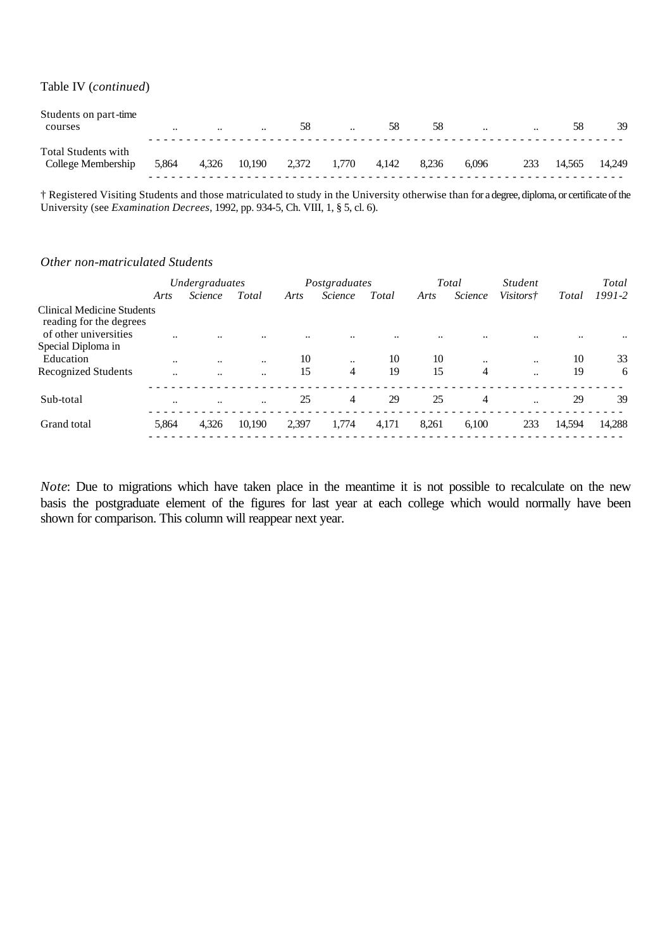Table IV (*continued*)

| Students on part-time<br>courses          | $\cdots$ | $\cdot$ | $\ddotsc$ | 58    | $\ddot{\phantom{a}}$ | 58    | 58    | $\ddotsc$ | $\ddotsc$ | 58     | 39     |
|-------------------------------------------|----------|---------|-----------|-------|----------------------|-------|-------|-----------|-----------|--------|--------|
| Total Students with<br>College Membership | 5,864    | 4,326   | 10,190    | 2,372 | 1.770                | 4.142 | 8.236 | 6.096     | 233       | 14.565 | 14.249 |

† Registered Visiting Students and those matriculated to study in the University otherwise than for a degree, diploma, or certificate of the University (see *Examination Decrees*, 1992, pp. 934-5, Ch. VIII, 1, § 5, cl. 6).

#### *Other non-matriculated Students*

|                                                              |                      | Undergraduates       |           |       | Postgraduates  |       |       | Total          | <i>Student</i>       |        | Total      |
|--------------------------------------------------------------|----------------------|----------------------|-----------|-------|----------------|-------|-------|----------------|----------------------|--------|------------|
|                                                              | Arts                 | <i>Science</i>       | Total     | Arts  | <i>Science</i> | Total | Arts  | Science        | <i>Visitors†</i>     | Total  | $1991 - 2$ |
| <b>Clinical Medicine Students</b><br>reading for the degrees |                      |                      |           |       |                |       |       |                |                      |        |            |
| of other universities                                        |                      |                      |           |       |                |       |       |                |                      |        |            |
| Special Diploma in                                           |                      |                      |           |       |                |       |       |                |                      |        |            |
| Education                                                    | $\ddotsc$            | $\ddotsc$            | $\ddotsc$ | 10    | $\ddotsc$      | 10    | 10    | $\ddotsc$      | $\ddot{\phantom{0}}$ | 10     | 33         |
| <b>Recognized Students</b>                                   | $\ddot{\phantom{a}}$ | $\ddot{\phantom{0}}$ | $\ddotsc$ | 15    | 4              | 19    | 15    | $\overline{4}$ |                      | 19     | 6          |
| Sub-total                                                    | $\ddotsc$            | $\ddotsc$            | $\ddotsc$ | 25    | $\overline{4}$ | 29    | 25    | $\overline{4}$ | $\ddot{\phantom{a}}$ | 29     | 39         |
| Grand total                                                  | 5,864                | 4,326                | 10,190    | 2,397 | 1,774          | 4,171 | 8,261 | 6,100          | 233                  | 14,594 | 14,288     |
|                                                              |                      |                      |           |       |                |       |       |                |                      |        |            |

*Note*: Due to migrations which have taken place in the meantime it is not possible to recalculate on the new basis the postgraduate element of the figures for last year at each college which would normally have been shown for comparison. This column will reappear next year.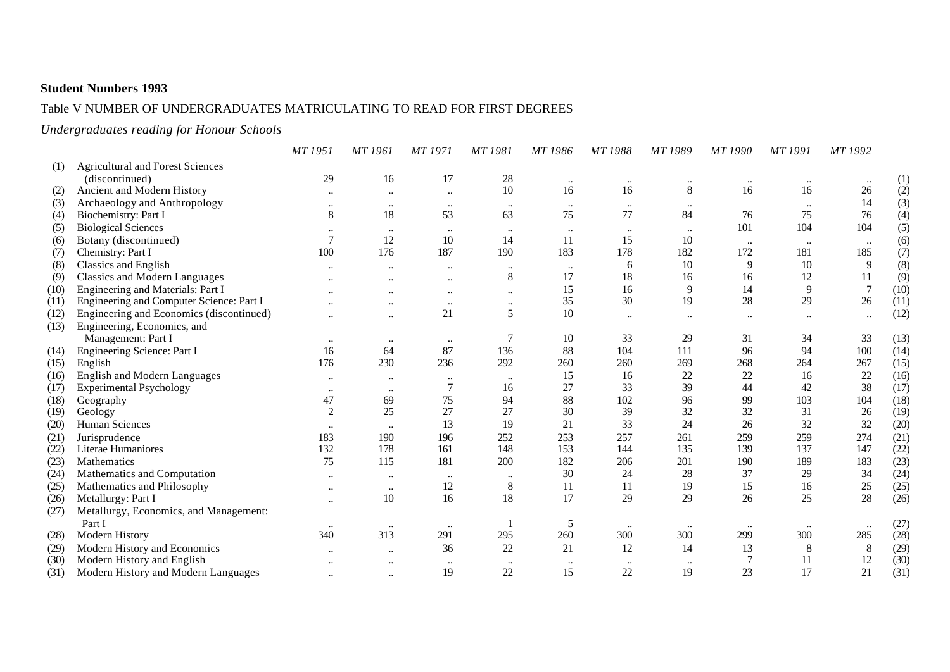### Table V NUMBER OF UNDERGRADUATES MATRICULATING TO READ FOR FIRST DEGREES

*Undergraduates reading for Honour Schools*

|      |                                          | MT 1951              | MT 1961   | <b>MT1971</b>        | <b>MT1981</b> | MT 1986   | MT 1988          | MT 1989              | <b>MT1990</b> | MT 1991   | MT 1992        |      |
|------|------------------------------------------|----------------------|-----------|----------------------|---------------|-----------|------------------|----------------------|---------------|-----------|----------------|------|
| (1)  | <b>Agricultural and Forest Sciences</b>  |                      |           |                      |               |           |                  |                      |               |           |                |      |
|      | (discontinued)                           | 29                   | 16        | 17                   | 28            | $\ddotsc$ | $\ddotsc$        |                      |               |           |                | (1)  |
| (2)  | Ancient and Modern History               |                      |           |                      | 10            | 16        | 16               | 8                    | 16            | 16        | $26\,$         | (2)  |
| (3)  | Archaeology and Anthropology             | $\ddotsc$            | $\ddotsc$ | $\cdot\cdot$         | $\cdot\cdot$  | $\ddotsc$ | $\cdots$         |                      |               |           | 14             | (3)  |
| (4)  | Biochemistry: Part I                     | $8\,$                | 18        | 53                   | 63            | 75        | 77               | 84                   | 76            | 75        | 76             | (4)  |
| (5)  | <b>Biological Sciences</b>               | $\ddot{\phantom{0}}$ | $\ddotsc$ | $\cdot$              | $\ddotsc$     | $\ddotsc$ | $\bullet\bullet$ |                      | 101           | 104       | 104            | (5)  |
| (6)  | Botany (discontinued)                    | $\overline{7}$       | 12        | 10                   | 14            | 11        | 15               | 10                   | $\cdots$      | $\cdots$  | $\ldots$       | (6)  |
| (7)  | Chemistry: Part I                        | 100                  | 176       | 187                  | 190           | 183       | 178              | 182                  | 172           | 181       | 185            | (7)  |
| (8)  | <b>Classics and English</b>              | $\ddotsc$            | $\ddotsc$ | $\ddotsc$            | $\ddotsc$     | $\ddotsc$ | 6                | 10                   | 9             | 10        | 9              | (8)  |
| (9)  | <b>Classics and Modern Languages</b>     |                      |           |                      | 8             | 17        | 18               | 16                   | 16            | 12        | 11             | (9)  |
| (10) | Engineering and Materials: Part I        |                      |           | $\ddot{\phantom{0}}$ | $\ldots$      | 15        | 16               | 9                    | 14            | 9         | $\overline{7}$ | (10) |
| (11) | Engineering and Computer Science: Part I |                      |           | $\ddotsc$            | $\ddotsc$     | 35        | $30\,$           | 19                   | 28            | 29        | 26             | (11) |
| (12) | Engineering and Economics (discontinued) | $\ddotsc$            | $\ddotsc$ | 21                   | 5             | 10        | $\ldots$         | $\ddot{\phantom{a}}$ | $\ddotsc$     |           | $\ddotsc$      | (12) |
| (13) | Engineering, Economics, and              |                      |           |                      |               |           |                  |                      |               |           |                |      |
|      | Management: Part I                       | $\bullet\bullet$     |           | $\ddotsc$            |               | 10        | 33               | 29                   | 31            | 34        | 33             | (13) |
| (14) | Engineering Science: Part I              | 16                   | 64        | 87                   | 136           | 88        | 104              | 111                  | 96            | 94        | 100            | (14) |
| (15) | English                                  | 176                  | 230       | 236                  | 292           | 260       | 260              | 269                  | 268           | 264       | 267            | (15) |
| (16) | <b>English and Modern Languages</b>      | $\ddot{\phantom{0}}$ | $\ddotsc$ | $\bullet\bullet$     | $\ddotsc$     | 15        | 16               | 22                   | 22            | 16        | 22             | (16) |
| (17) | <b>Experimental Psychology</b>           | $\ddot{\phantom{a}}$ | $\ddotsc$ |                      | 16            | 27        | 33               | 39                   | 44            | 42        | 38             | (17) |
| (18) | Geography                                | 47                   | 69        | 75                   | 94            | 88        | 102              | 96                   | 99            | 103       | 104            | (18) |
| (19) | Geology                                  | $\overline{2}$       | 25        | 27                   | 27            | 30        | 39               | 32                   | 32            | 31        | 26             | (19) |
| (20) | Human Sciences                           | $\ddot{\phantom{0}}$ | $\ldots$  | 13                   | 19            | 21        | 33               | 24                   | 26            | 32        | 32             | (20) |
| (21) | Jurisprudence                            | 183                  | 190       | 196                  | 252           | 253       | 257              | 261                  | 259           | 259       | 274            | (21) |
| (22) | Literae Humaniores                       | 132                  | 178       | 161                  | 148           | 153       | 144              | 135                  | 139           | 137       | 147            | (22) |
| (23) | Mathematics                              | 75                   | 115       | 181                  | 200           | 182       | 206              | 201                  | 190           | 189       | 183            | (23) |
| (24) | Mathematics and Computation              | $\ddotsc$            | $\ddotsc$ | $\ddotsc$            | $\ddotsc$     | 30        | 24               | 28                   | 37            | 29        | 34             | (24) |
| (25) | Mathematics and Philosophy               |                      | $\ddotsc$ | 12                   | 8             | 11        | 11               | 19                   | 15            | 16        | 25             | (25) |
| (26) | Metallurgy: Part I                       |                      | 10        | 16                   | 18            | 17        | 29               | 29                   | 26            | 25        | 28             | (26) |
| (27) | Metallurgy, Economics, and Management:   |                      |           |                      |               |           |                  |                      |               |           |                |      |
|      | Part I                                   |                      | $\ldots$  | $\ldots$             |               | 5         | $\ddotsc$        |                      | $\ddotsc$     | $\ddotsc$ | $\ldots$       | (27) |
| (28) | Modern History                           | 340                  | 313       | 291                  | 295           | 260       | 300              | 300                  | 299           | 300       | 285            | (28) |
| (29) | Modern History and Economics             |                      |           | 36                   | 22            | 21        | 12               | 14                   | 13            | 8         | 8              | (29) |
| (30) | Modern History and English               |                      |           | $\ddotsc$            | $\ddotsc$     | $\ddotsc$ | $\ddotsc$        | $\ddotsc$            |               | 11        | 12             | (30) |
| (31) | Modern History and Modern Languages      | $\ddotsc$            | $\ddotsc$ | 19                   | 22            | 15        | 22               | 19                   | 23            | 17        | 21             | (31) |
|      |                                          |                      |           |                      |               |           |                  |                      |               |           |                |      |